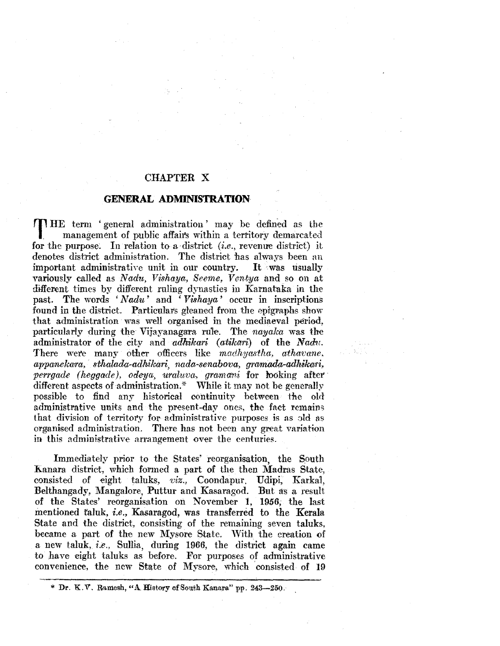## CHAPTER X

### **GENERAL ADMINISTRATION**

**THE** term 'general administration' may be defined as the **I.** management of public affairs within a territory demarcated for the purpose. In relation to a district *(i.e., revenue district)* it denotes district administration. The district has always been au important administrative unit in our country. It was usually variously called as *Nadu, Vishaya, Seeme, Ventya* and so on at different times by different ruling dynasties in Karnataka in the past. The words *'Nadu'* and *'Vishaya'* occur in inscriptions found in the district. Particulars gleaned from the epigraphs show that administration was well organised in the mediaeval period, particularly during the Vijayanagara rule. The *nayalca* was the administrator of the city and *adhikari (atikari)* of the *Nadu*. There were many other officers like *madhyastha, athavane*,  $appanekara, sthalada-adhikari, nada-senabova, gramada-adhikari,$ *perrgade (heggade), odeya, uraluva, gramani* for looking after different aspects of administration.\* While it may not be generally possible to find any historical continuity between the old administrative units and the present-day ones, the fact remains that division of territory for administrative purposes is as old as organised administration. There has not been any great variation in this administrative arrangement over the centuries.

Immediately prior to the States' reorganisation, the South Kanara district, which formed a part of the then Madras State, consisted of eight taluks, *viz.,* Coondapur. Udipi, Karka1, Belthangady, Mangalore, Puttur and Kasaragod. But as a result of the States' reorganisation on November 1, 1956; the last mentioned taluk, *i.e.*, Kasaragod, was transferred to the Kerala State and the district, consisting of the remaining seven taluks, became a part of the new Mysore State. With the creation of a new taluk, *i.e.,* Sullia, during 1966, the district again came to have eight taluks as before. For purposes of administrative convenience, the new State of Mysore, which 'consisted of 19

<sup>\*</sup> Dr. K.V. Ramesh, "A. History of South Kanara" pp. 243-250.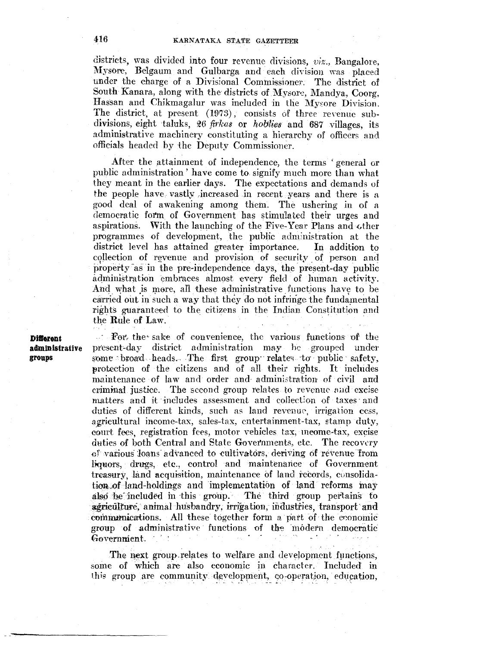# 416 KARNATAKA STATE GAZETTEER

districts, was divided into four revenue divisions, *viz.,* Bangalore, Mysore, Belgaum and Gulbarga and each division was placed under the charge of a Divisional Commissioner. The district of South Kanara, along with the districts of Mysore, Mandya, Coorg, Hassan and Chikmagalur was included in the Mysore Division. The district, at present  $(1973)$ , consists of three revenue subdivisions, eight taluks, 26 *firkas* or *hoblies* and 687 villages, its administrative machinery constituting a hierarchy of officers and officials headed by the Deputy Commissioner.

After the attainment of independence, the terms 'general or public administration' have come to signify much more than what they meant in the earlier days. The expectations and demands of the people have vastly increased in recent years and there is a good deal of awakening among them. The ushering in of a democratic form of Government has stimulated their urges and aspirations. With the launching of the Five-Year Plans and other programmes of development, the public adm)nistration at the district level has attained greater importance. In addition to collection of revenue and provision of security of person and property as in the pre-independence days, the present-day public administration embraces almost every field of human activity. And what is more, all these administrative functions have to be carried out in such a way that they do not infringe the fundamental rights guaranteed to the citizens in the Indian Constitution and the Rule of Law.

**Ditrerent administrative groups** 

· For, the· sake of convenience, the various functions or the present-day district administration may be grouped under some broad heads. The first group relates to public safety, **s** protection of the citizens and of all their rights. It includes maintenance of law and order and administration of civil and criminal justice. The second group relates to revenue and excise matters and it includes assessment and collection of taxes and duties of different kinds, such as land revenue, irrigation cess, agricultural income-tax, sales-tax, entertainment-tax, etamp duty, court fees, registration fees, motor vehicles tax, meome-tax, excise duties of both Central and State Governments, etc. The recovery (})'various :loans· advanced to cultivators, deriving of revenue from liquors, drugs, etc., control and maintenance of Government treasury, land acquisition, maintenance of land records, consolidation of land-holdings and implementation of land reforms may also be included in this group. The third group pertains to agriculture, animal husbandry, irrigation, industries, transport and communications. All these together form a part of the eronomic group of administrative functions of the modern democratic Government.

The next group relates to welfare and development functions, some of which are also economic in character. Included in this group are community development, co-operation, education,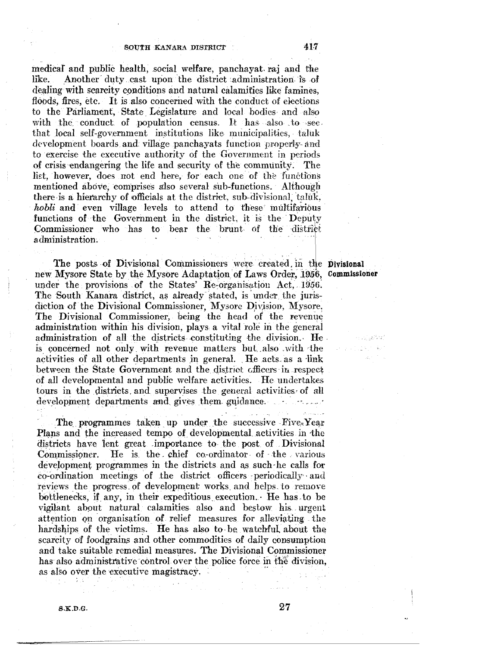medical and public health, social welfare, panchayat raj and the like. Another duty cast upon the district administration is of dealing with scarcity conditions and natural calamities like famines, floods, fires, etc. It is also concerned with the conduct of elections to the Parliament, State Legislature and local bodies and also with the conduct of population census. It has also to see. that local self-government institutions like municipalities, taluk development boards and village panchayats function properly- and to exercise the executive authority of the Government in periods of crisis endangering the life and security of the community. The list, however, does not end here, for each one of the functions mentioned above, comprises also several sub-functions. Although there is a hierarchy of officials at the district, sub-divisional, taluk, *hobli* and even village levels to attend to these multifarious functions of the Government in the district, it is the Deputy Commissioner who has to bear the brunt of the district administration~

The posts of Divisional Commissioners were created, in the Divisional new Mysore State by the Mysore Adaptation of Laws Order, 1956, Commissioner under the provisions of the States' Re-organisation Act, 1956. The South Kanara district, as already stated, is under the jurisdiction of the Divisional Commissioner, Mysore Division, Mysore. The Divisional Commissioner, being the head of the revenue administration within his division, plays a vital role in the general administration of all the districts constituting the division. He is concerned not only with revenue matters but also with the activities of all other departments in general. He acts as a link between the State Government and the district officers in respect of all developmental and public welfare activities. He undertakes tours in the districts. and supervises the general activities· of aH development departments and gives them guidance.

The programmes taken up under the successive Five-Year Plans and the increased tempo of developmental activities in the districts have lent great importance to the post of Divisional Commissioner. He is the chief co-ordinator of the various development programmes in the districts and as such he calls for co-ordination meetings of the district officers periodically and reviews the progress of development works and helps to remove bottlenecks, if any, in their expeditious execution. · He has to be vigilant about natural calamities also and bestow his urgent attention on organisation of relief measures for alleviating the hardships of the victims. He has also to be watchful about the scarcity of foodgrains and other commodities of daily consumption and take suitable remedial measures. The Divisional Commissioner has also administrative control over the police force in the division, as also over the executive magistracy.

 $\langle \varphi^1,\varphi^1\rangle$  .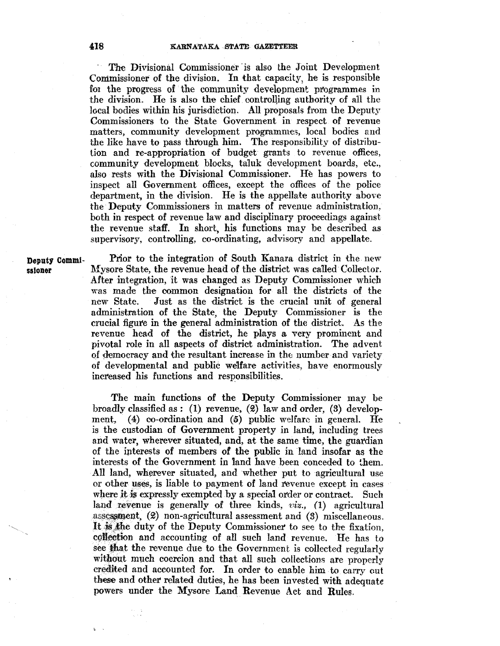The Divisional Commissioner is also the Joint Development Commissioner of the division. In that capacity, he is responsible for the progress of the community development programmes in the division. He is also the chief controlling authority of all the local bodies within his jurisdiction. All proposals from the Deputy Commissioners to the State Government in respect of revenue matters, community development programmes, local bodies and the like have to pass through him. The responsibility of distribution and re-appropriation of budget grants to revenue offices, community development blocks, taluk development boards, etc., also rests with the Divisional Commissioner. He has powers to inspect all Government offices, except the offices of the police department, in the division. He is the appellate authority above the· Deputy Commissioners in matters of revenue administration, both in respect of revenue law and disciplinary proceedings against the revenue staff. In short, his functions may be described as supervisory, controlling, co-ordinating, advisory and appellate.

Deputy Commi- Prior to the integration of South Kanara district in the new ssioner Mysore State, the revenue head of the district was called Collector. After integration, it was changed as Deputy Commissioner which was made the common designation for all the districts of the new State. Just as the district is the crucial unit of general administration of the State, the Deputy Commissioner is the crucial figure in the general administration of the district. As the revenue head of the district, he plays a very prominent and pivotal role in all aspects of district administration. The advent ()f democracy and the resultant increase in the number and variety of developmental and public welfare activities, have enormously increased his functions and responsibilities.

> The main functions of the Deputy Commissioner may be broadly classified as : (1) revenue, (2) law and order, (3) development,  $(4)$  co-ordination and  $(5)$  public welfare in general. He is the custodian of Government property in land, including trees and water, wherever situated, and, at the same time, the guardian of the htterests of members of the public in land insofar as the interests of the Government in 1and have been conceded to them. All land, wherever situated, and whether put to agricultural use or other uses, is liable to payment of land revenue except in cases where it is expressly exempted by a special order or contract. Such land revenue is generally of three kinds, *viz.*, (1) agricultural assessment,  $(2)$  non-agricultural assessment and  $(3)$  miscellaneous. It is the duty of the Deputy Commissioner to see to the fixation, collection and accounting of all such land revenue. He has to see that the revenue due to the Government is collected regularly without much coercion and that all such collections are properly credited and accounted for. In order to enable him to carry out these and other related duties, he has been invested with adequate powers under the Mysore Land Revenue Act and Rules.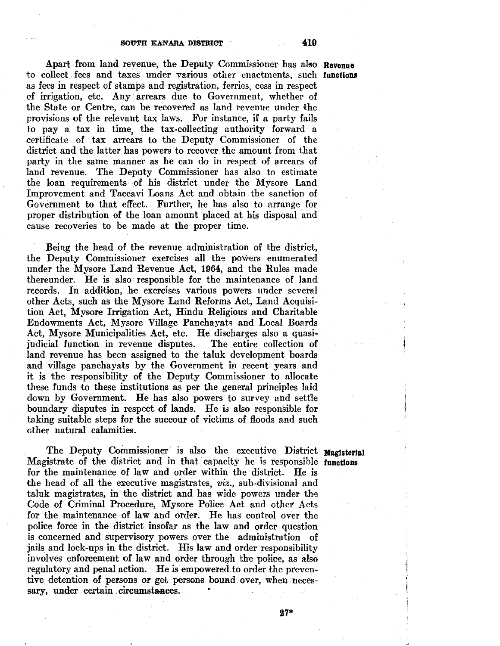Apart from land revenue, the Deputy Commissioner has also Revenue to collect fees and taxes under various other enactments, such functions as fees in respect of stamps and registration, ferries, cess in respect of irrigation, etc. Any arrears due to Government, whether of the State or Centre, can he recovered as land revenue under the provisions of the relevant tax laws. For instance, if a party fails to pay a tax in time, the tax-collecting authority forward a certificate of tax arrears to the Deputy Commissioner of the district and the latter has powers to recover the amount from that party in the same manner as he can do in respect of arrears of land revenue. The Deputy Commissioner has also to estimate the loan requirements .of his district under the Mysore Land Improvement and Taccavi Loans Act and obtain the sanction of Government to that effect. Further, he has also to arrange for proper distribution of the loan amount placed at his disposal and cause recoveries to be made at the proper time.

Being the head of the revenue administration of the district, the Deputy Commissioner exercises all the powers enumerated under the Mysore Land Revenue Act, 1964, and the Rules made thereunder. He is also responsible for the maintenance of land records. In addition, he exercises various powers under several other Acts, such as the Mysore Land Reforms Act, Land Acquisition Act, Mysore Irrigation Act, Hindu Religious and Charitable Endowments Act, Mysore Village Panchayats and Local Boards Act, Mysore Municipalities Act, etc. He discharges also a quasi-<br>judicial function in revenue disputes. The entire collection of judicial function in revenue disputes. land revenue has been assigned to the taluk development boards and village panchayats by the Government in recent years and it is the responsibility of the Deputy Commissioner to allocate these funds to these institutions as per the general principles laid down by Government. He has also powers to survey and settle boundary disputes in respect of lands. He is also responsible for taking suitable steps for the succour of victims of floods and such other natural calamities.

The Deputy Commissioner is also the executive District Magisterial Magistrate of the district and in that capacity he is responsible functions for the maintenance of law and order within the district. He is the head of all the executive magistrates, *viz.,* sub-divisional and taluk magistrates, in the district and has wide powers under the Code of Criminal Procedure, Mysore Police Act and other Acts for the maintenance of law and order. He has control over the police force in the district insofar as the law and order question is concerned and supervisory powers over the administration of jails and lock-ups in the district. His law and order responsibility involves enforcement of law and order through the police, as also regulatory and penal action. He is empowered to order the preventive detention of persons or get persons bound over, when necessary, under certain circumstances.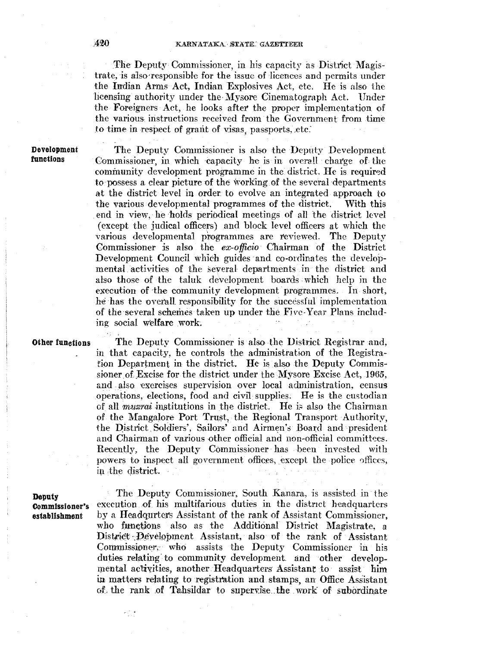The Deputy Commissioner, in his capacity as District Magistrate, is also'responsible for the issue of licences and permits under the Irrdian Arms Act, Indian Explosives Act, etc. He is also the licensing authority under the Mysore Cinematograph Act. Under the Foreigners Act, he looks aftet the proper implementation of the various, instructions received from the Government from time to time in respect of grant of visas, passports, etc.

**Development functions** 

The Deputy Commissioner is also the Deputy Development Commissioner, in which capacity he is in overall charge of the community development programme in the district. He is required to possess a clear picture of the working of the several departments at the district level in order to evolve an integrated approach to the various developmental programmes of the district. With this end in view, he holds periodical meetings of all 'the district level (except the judical officers) and block level officers at which the various developmental programmes are reviewed. The Deputy Commissioner js also the *ex-officio·* Chairman of the District Development Council which guides and co-ordinates the developmental activities of the several departments in the district and also those of the taluk development boards which help in the execution of the community development programmes. In short, he has the overall responsibility for the successful implementation of the several schemes taken up under the Five-Year Plans including social welfare work.

**Oiher functions** 

The Deputy Commissioner is also the District Registrar and, in that capacity, he controls the administration of the Registration Department in the district. He is also the Deputy Commissioner of Excise for the district under the Mysore Excise Act, 1965, and also exercises supervision over local administration, census operations, elections, food and civil supplies. He is the custodian of all *muzrai* institutions in the district. He is also the Chairman of the Mangalore Port Trust, the Regional Transport Authority, the District Soldiers', Sailors' and Airmen's Board and president and Chairman of various other official and non-official committees. Recently, the Deputy Commissioner· has been invested with powers to inspect all government offices, except the police offices, in the district.

**Deputy Commissioner's establishment** 

The Deputy Commissioner, South Kanara, is assisted in the execution of his multifarious duties in the district headquarters by a Headqurters Assistant of the rank of Assistant Commissioner, who functions also as the Additional District Magistrate, a District Development Assistant, also of the rank of Assistant Commissioner; who assists the Deputy Commissioner in his duties relating to community development and other developmental activities, another Headquarters Assistant to assist him in matters relating to registration and stamps, an Office Assistant of the rank of Tahsildar to supervise the work of subordinate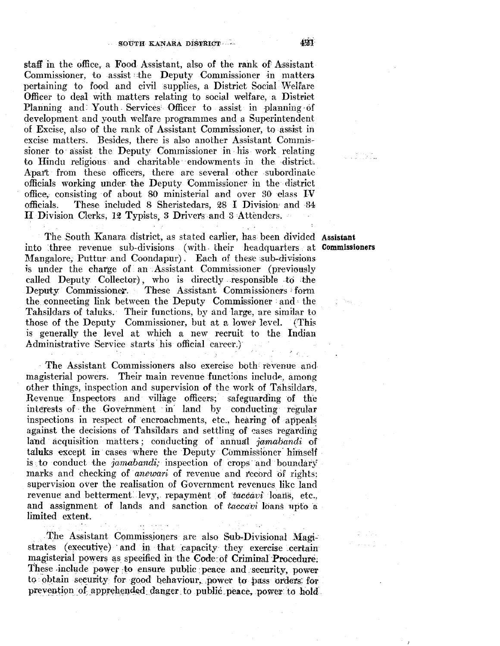staff in the office, a Food Assistant, also of the rank of Assistant Commissioner, to assist the Deputy Commissioner in matters pertaining to food and civil supplies, a District Social Welfare Officer to deal with matters relating to social welfate, a District Planning and: Youth Services Officer to assist in planning of development and youth welfare programmes and a Superintendent of Excise, also of the rank of Assistant Commissioner, to assist in excise matters. Besides, there is also another Assistant Commissioner to assist the Deputy Commissioner in his work relating to Hindu religious and charitable· endowments in the district. Apart from these officers, there are several other subordinate officials working under the Deputy Commissioner in the district office, consisting of about 80 ministerial and over 30 class IV officials. These included 8 Sheristedars. 28 I Division and 84 These included 8 Sheristedars, 28 I Division and 84 H Division Clerks, 12 Typists, 3 Drivers and 3 Attenders.

The South Kanara district, as stated earlier, has been divided Assistant into three revenue sub-divisions (with. their headquarters at Commissioners Mangalore, Puttur and Coondapur). Each of these sub-divisions is under the charge of an Assistant Commissioner (previously called Deputy Collector), who is directly responsible to the Deputy Commissioner. These Assistant Commissioners form the connecting link between the Deputy Commissioner and • the Tahsildars of taluks. Their functions, by and large, are similar to those of the Deputy Commissioner, but at a lower level. (This is generally the level at which a new recruit to the Indian Administrative Service starts his official career.)

· The Assistant Commissioners also exercise both revenue and magisterial powers. Their main revenue functions include, among other things, inspection and supervision of the work of Tahsildars, Revenue Inspectors and village officers; safeguarding of the interests of the Government in land by conducting regular inspections in respect of encroachments, etc., hearing of appeals against the decisions of Tahsildars and settling of cases regarding land acquisition matters; conducting of annual jamabandi of taluks except in cases where the Deputy Commissioner himself is to conduct the *jamabandi*; inspection of crops and boundary marks and checking of *anewari* of revenue and record of rights: supervision over the realisation of Government revenues like land revenue and betterment levy, repayment of *taccavi* loans, etc., and assignment of lands and sanction of *taceavi* loans upto a limited extent.

The Assistant Commissioners are also Sub-Divisional Magistrates (executive) and in that capacity they exercise certain magisterial powers as specified in the Code:of Criminal Procedure: These include power to ensure public peace and security, power to obtain security for good behaviour, power to pass orders for prevention of apprehended danger to public peace, power to hold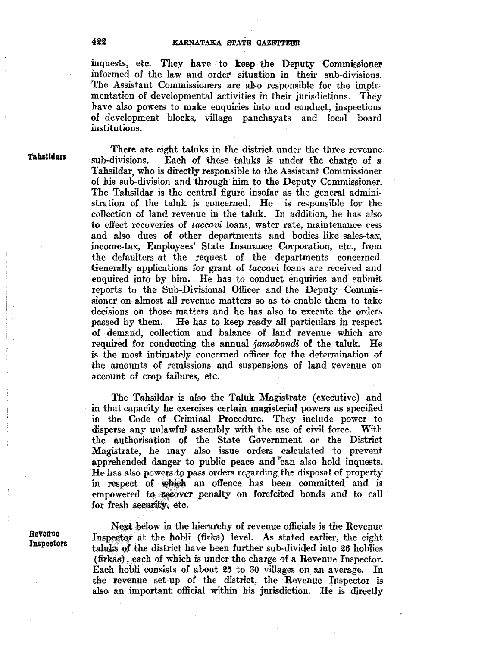#### KARNATAKA STATE GAZETTEER

inquests, etc. They have to keep the Deputy Commissioner informed of the law and order situation 1n their sub-divisions. The Assistant Commissioners are also responsible for the imple• mentation of developmental activities in their jurisdictions. They have also powers to make enquiries into and conduct, inspections of development blocks, village panchayats and local board institutions.

**Tab&lldars** 

There are eight taluks in the district under the three revenue<br>sub-divisions. Each of these taluks is under the charge of a Each of these taluks is under the charge of a Tahsildar, who is directly responsible to the Assistant Commissioner of his sub-division and through him to the Deputy Commissioner. The Tahsildar is the central figure insofar as the general administration of the taluk is concerned. He is responsible for the collection of land revenue in the taluk. In addition, he has also to effect recoveries of *taccavi* loans, water rate, maintenance cess and also dues of other departments and bodies like sales-tax, income-tax, Employees' State Insurance Corporation, etc., from the defaulters at the request of the departments concerned. Generally applications for grant of *taecavi* loans are received and enquired into by him. He has to conduct enquiries and submit reports to the Sub-Divisional Officer and the Deputy Commissioner on almost all revenue matters so as to enable them to take decisions on those matters and he has also to execute the orders passed by them. He has to keep ready all particulars in respect of demand, collection and balance of land revenue which are required for conducting the annual *jamabandi.* of the taluk. He is the most intimately concerned officer for the determination of the amounts of remissions and suspensions of land xevenue on account of crop failures, etc.

The Tahsildar is also the Taluk Magistrate (executive) and in that capacity he exercises certain magisterial powers as specified in the Code of Criminal Procedure. They include power to disperse any unlawful assembly with the use of civil force. With the authorisation of the State Government or the District Magistrate, he may also issue orders calculated to prevent apprehended danger to public peace and "can also hold inquests. He has also powers to pass orders regarding the disposal of property in respect of which an offence has been committed and is empowered to recover penalty on forefeited bonds and to call for fresh security, etc.

**Revenue Inspectors** 

Next below in the hierarchy of revenue officials is the Revenue Inspector at the hobli (firka) level. As stated earlier, the eight taluks of the district have been further sub-divided into 26 hoblies  $(firkas)$ , each of which is under the charge of a Revenue Inspector. Each hobli consists of about *25* to 30 villages on an average. In the revenue set-up of the district, the Revenue Inspector is also an important official within his jurisdiction. He is directly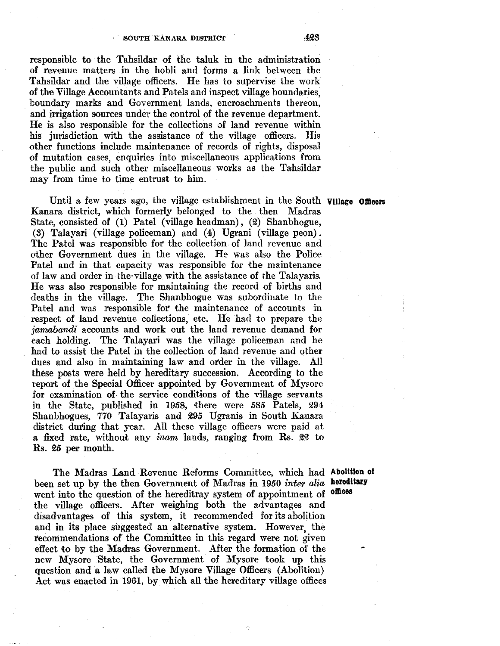responsible to the Tahsildar of the taluk in the administration of revenue matters in the hobli and forms a link between the Tahsildar and the village officers. He has to supervise the work of the Village Accountants and Patels and inspect village boundaries, boundary marks and Government lands, encroachments thereon, and irrigation sources under the control of the revenue department. He is also responsible for the collections of land revenue within his jurisdiction with the assistance of the village officers. His other functions include maintenance of records of rights, disposal of mutation cases, enquiries into miscellaneous applications from the public and such other miscellaneous works as the Tahsildar may from time to time entrust to him.

Until a few years ago, the village establishment in the South **Village Officers** Kanara district, which formerly belonged to the then Madras State, consisted of **(1)** Patel (village headman), (2) Shanbhogue, (3) Talayari (village policeman) and (4) Ugrani (village peon). The Patel was responsible for the collection of land revenue and other Government dues in the village. He was also the Police Patel and in that capacity was responsible for the maintenance of law and order in the,village with the assistance of rhe Talayaris. He was also responsible for maintaining the record of births and deaths in the village. The Shanbhogue was subordinate to the Patel and was responsible for the maintenance of accounts in respect of land revenue collections, etc. He had to prepare the *jannabandi* accounts and work out the land revenue demand for each holding. The Talayari was the village policeman and he had to assist the Patel in the collection of land revenue and other dues and also in maintaining law and order in the village. All these posts were held by hereditary succession. According to the report of the Special Officer appointed by Government of Mysore for examination of the service conditions of the village servants in the State, published in 1958, there were 585 Patels, 294 Shanbhogues, 770 Talayaris and 295 Ugranis in South Kanara district during that year. All these village officers were paid at a fixed rate, without any *inam* lands, ranging from Rs. 22 to Rs. 25 per month.

The Madras Land Revenue Reforms Committee, which had **Abolition of**  been set up by the then Government of Madras in 1950 *inter alia*  **hereditary**  went into the question of the hereditray system of appointment of the village officers. After weighing both the advantages and disadvantages of this system, it recommended for its abolition and in its place suggested an alternative system. However, the I'ecommendations of the Committee in this regard were not given effect to by the Madras Government. After the formation of the new Mysore State, the Government of Mysore took up this question and a law called the Mysore Village Officers (Abolition) Act was enacted in 1961, by which all the hereditary village offices

**omces**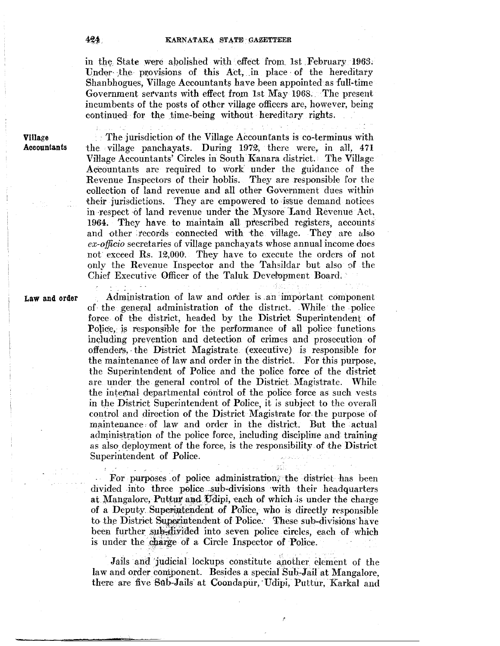#### KARNATAKA STATE GAZETTEER

in the State were abolished with effect from 1st February 1963. Under-the provisions of this Act, in place of the hereditary Shanbhogues, Village Accountants have been appointed as full-time Government servants with effect from 1st May 1968. The present incumbents of the posts of other village officers are, however, being continued for the time-being without hereditary rights.

Village Accountants

 $\therefore$  The jurisdiction of the Village Accountants is co-terminus with the village panchayats. During 1972, there were, in all, 471 Village Accountants' Circles in South Kanara district. The Village Accountants are required to work under the guidance of the Revenue Inspectors of their hoblis. They are responsible for the collection of land revenue and all other Government dues within their jurisdictions. They are empowered to issue demand notices in respect of land revenue under the Mysore Land Revenue Act, 1964. They have to maintain all prescribed registers, accounts and other records connected with the village. They are also *cx-ojjido* secretaries of village panchayats whose annual income does not exceed Rs. 12,000. They have to execute the orders of not only the Revenue Inspector and the Tahsildar but also of the Chief Executive Officer of the Taluk Development Board.

Law and order

Administration of law and order. is .an important component of the general administration of the distnct. While the police force. of the district, headed by the District Superintendent of Police, is responsible for the performance of all police functions including prevention and detection of crimes and prosecution of offenders, the District Magistrate (executive) is responsible for the maintenance of law and order in the district. For this purpose, the Superintendent of Police and the police force of the district are under the general control of the District Magistrate. While the internal departmental control of the police force as such vests in the District Superintendent of Police, it *is* subject to the overall control and direction of the District Magistrate for the purpose of maintenance of law and order in the district. But the actual administration of the police force, including discipline and training as also deployment of the force, is the responsibility of the District Superintendent of Police.

For purposes of police administration; the district has been divided into three police sub-divisions with their headquarters at Mangalore, Puttur and Udipi, each of which is under the charge of a Deputy Superintendent of Police, who is directly responsible to the District Superintendent of Police. These sub-divisions have been further sub-divided into seven police circles, each of which is under the charge of a Circle Inspector of Police.

3ď

Jails and judicial lockups constitute another element of the law and order component. Besides a special Sub-Jail at Mangalore, there are five Sub-Jails at Coondapur, Udipi, Puttur, Karkal and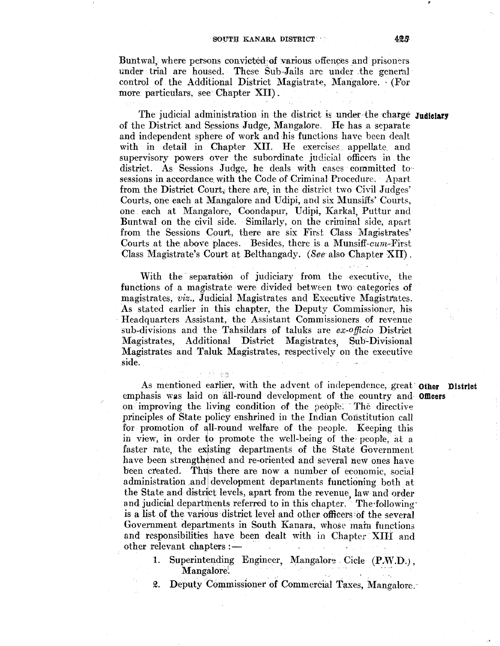Buntwal, where persons convicted of various offences and prisoners under trial are housed. These Sub-Jails are under the general control of the Additional District Magistrate, Mangalore. · (For more particulars, see Chapter XII) .

The judicial administtation in the district is under the charge **Judiciary**  of the District and Sessions Judge, Mangalore. He has a separate and independent sphere of work and his functions have been dealt with in detail in Chapter XII. He exercises appellate and supervisory powers over the subordinate judicial officers in the district. As Sessions Judge, he deals with cases committed to sessions in accordance with the Code of Criminal Procedure. Apart from the District Court, there are, in the district two Civil Judges' Courts, one each at Mangalore and Udipi, and six Munsiffs' Courts, one each at Mangalore, Coondapur, Udipi, Karkal, Puttur and Buntwal on the civil side. Similarly, on the criminal side, apart from the Sessions Court, there are six First Class Magistrates' Courts at the above places. Besides, there is a Munsiff-cum-First Class Magistrate's Court at Belthangady. *(See* also Chapter XII).

With the separation of judiciary from the executive, the functions of a magistrate were divided between two categories of magistrates, *viz.,* Judicial Magistrates and Executive Magisttates. As stated earlier in this chapter, the Deputy Commissioner, his · Headquarters Assistant, the Assistant Commissioners of revenue sub-divisions and the Tahsildars of taluks are *ex-officio* District Magistrates, Additional District Magistrates, Sub-Divisional Magistrates and Taluk Magistrates, respectively on the executive side.

i de seg

As mentioned earlier, with the advent of independence, great· **Other District**  emphasis was laid on all-round development of the country and **Officers** on improving the living condition of the people. The directive principles of State policy enshrined in the Indian Constitution call for promotion of all-round welfare of the people. Keeping this in view, in order to promote the well-being of the people, at a faster rate, the existing departments of the State Government have been strengthened and re-oriented and several new ones have been created. Thus there are now a number of economic, social administration and development departments functioning both at the State and district levels, apart from the revenue, law and order and judicial departments referred to in this chapter. The following is a list of the various district level and other officers of the several Government departments in South Kanara, whose mam functions and responsibilities have been dealt with in Chapter XIII and other relevant chapters : -

1. Superintending Engineer, Mangalore Cicle (P.W.D.), Mangalore'.

2. Deputy Commissionet of Commercial Taxes, Mangalore.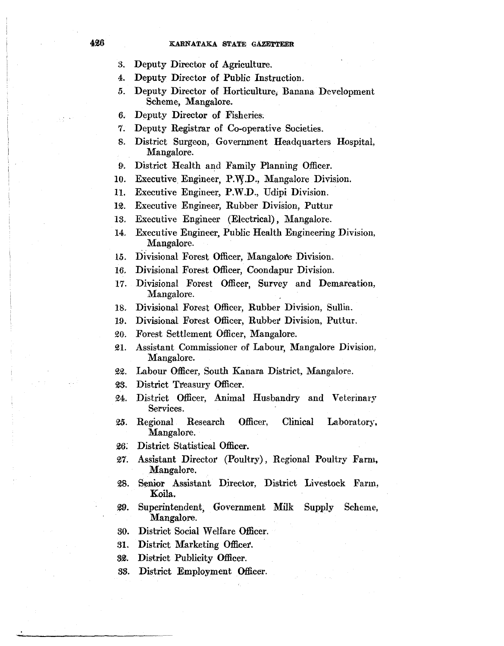- 3. Deputy Director of Agriculture.
- 4. Deputy Director of Public Instruction.
- *5.*  Deputy Director of Horticulture, Banana Development Scheme, Mangalore.
- 6. Deputy Director of Fisheries:
- 7. Deputy Registrar of Co-operative Societies.
- 8. District Surgeon, Government Headquarters Hospital, Mangalore.
- 9•. District Health and Family Planning Officer.
- 10. Executive Engineer, *P:\Y.D.,* Mangalore Division.
- 11. Executive Engineer, P.W.D., Udipi Division.
- 12. Executive Engineer, Rubber Division, Puttur
- 13. Executive Engineer (Electrical), Mangalore.
- 14. Executive Engineer, Public Health Engineering Division, Mangalore.
- 15. Divisional Forest Officer, Mangalore Division.
- 16. Divisional Forest Officer, Coondapur Division.
- 17. Divisional Forest Officer, Survey and Demarcation, Mangalore.
- 18. Divisional Forest Officer, Rubber Division, Sullia.
- 19. Divisional Forest Officer, Rubber Division, Puttur.
- 20. Forest Settlement Officer, Mangalore.
- ~I. Assistant Commissioner of Labour, Mangalore Division, Mangalore.
- ~2. Labour Officer, South Kanara District, Mangalore.
- 23. District Treasury Officer.
- 24. District Officer, Animal Husbandry and Veterinary Services.
- *25.*  Regional Research Officer, Clinical Laboratory, Mangalore.
- 2.6: District Statistical Officer.
- 27. Assistant Director (Poultry), Regional Poultry Farm, Mangalore.
- 28. Senior Assistant Director, District Livestock Farm, Koila.
- ~. Superintendent, Government Milk Supply Scheme, Mangalore.
- 80. District Social Welfare Officer.
- 31. District Marketing Officer.
- 32. District Publicity Officer.
- 83. District Employment Officer.